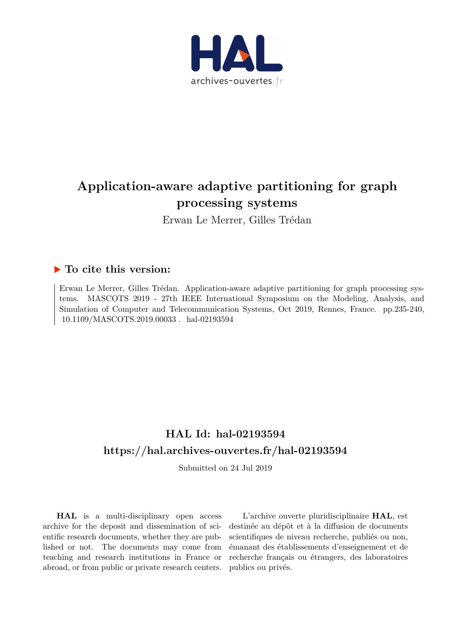

## **Application-aware adaptive partitioning for graph processing systems**

Erwan Le Merrer, Gilles Trédan

### **To cite this version:**

Erwan Le Merrer, Gilles Trédan. Application-aware adaptive partitioning for graph processing systems. MASCOTS 2019 - 27th IEEE International Symposium on the Modeling, Analysis, and Simulation of Computer and Telecommunication Systems, Oct 2019, Rennes, France. pp.235-240, 10.1109/MASCOTS.2019.00033. hal-02193594

## **HAL Id: hal-02193594 <https://hal.archives-ouvertes.fr/hal-02193594>**

Submitted on 24 Jul 2019

**HAL** is a multi-disciplinary open access archive for the deposit and dissemination of scientific research documents, whether they are published or not. The documents may come from teaching and research institutions in France or abroad, or from public or private research centers.

L'archive ouverte pluridisciplinaire **HAL**, est destinée au dépôt et à la diffusion de documents scientifiques de niveau recherche, publiés ou non, émanant des établissements d'enseignement et de recherche français ou étrangers, des laboratoires publics ou privés.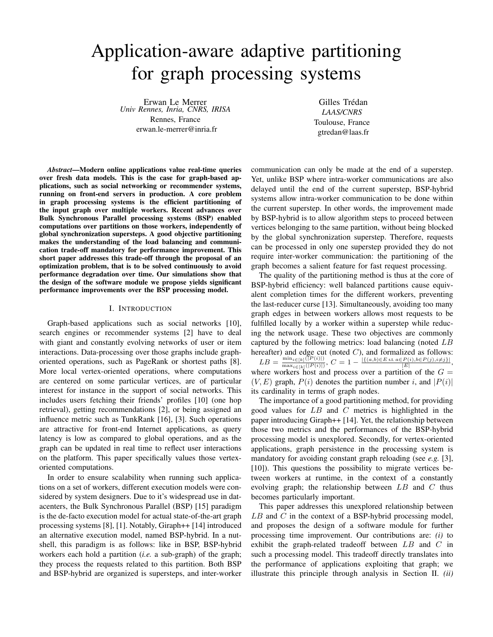# Application-aware adaptive partitioning for graph processing systems

Erwan Le Merrer *Univ Rennes, Inria, CNRS, IRISA* Rennes, France erwan.le-merrer@inria.fr

Gilles Trédan *LAAS/CNRS* Toulouse, France gtredan@laas.fr

*Abstract*—Modern online applications value real-time queries over fresh data models. This is the case for graph-based applications, such as social networking or recommender systems, running on front-end servers in production. A core problem in graph processing systems is the efficient partitioning of the input graph over multiple workers. Recent advances over Bulk Synchronous Parallel processing systems (BSP) enabled computations over partitions on those workers, independently of global synchronization supersteps. A good objective partitioning makes the understanding of the load balancing and communication trade-off mandatory for performance improvement. This short paper addresses this trade-off through the proposal of an optimization problem, that is to be solved continuously to avoid performance degradation over time. Our simulations show that the design of the software module we propose yields significant performance improvements over the BSP processing model.

#### I. INTRODUCTION

Graph-based applications such as social networks [10], search engines or recommender systems [2] have to deal with giant and constantly evolving networks of user or item interactions. Data-processing over those graphs include graphoriented operations, such as PageRank or shortest paths [8]. More local vertex-oriented operations, where computations are centered on some particular vertices, are of particular interest for instance in the support of social networks. This includes users fetching their friends' profiles [10] (one hop retrieval), getting recommendations [2], or being assigned an influence metric such as TunkRank [16], [3]. Such operations are attractive for front-end Internet applications, as query latency is low as compared to global operations, and as the graph can be updated in real time to reflect user interactions on the platform. This paper specifically values those vertexoriented computations.

In order to ensure scalability when running such applications on a set of workers, different execution models were considered by system designers. Due to it's widespread use in datacenters, the Bulk Synchronous Parallel (BSP) [15] paradigm is the de-facto execution model for actual state-of-the-art graph processing systems [8], [1]. Notably, Giraph++ [14] introduced an alternative execution model, named BSP-hybrid. In a nutshell, this paradigm is as follows: like in BSP, BSP-hybrid workers each hold a partition (*i.e.* a sub-graph) of the graph; they process the requests related to this partition. Both BSP and BSP-hybrid are organized is supersteps, and inter-worker communication can only be made at the end of a superstep. Yet, unlike BSP where intra-worker communications are also delayed until the end of the current superstep, BSP-hybrid systems allow intra-worker communication to be done within the current superstep. In other words, the improvement made by BSP-hybrid is to allow algorithm steps to proceed between vertices belonging to the same partition, without being blocked by the global synchronization superstep. Therefore, requests can be processed in only one superstep provided they do not require inter-worker communication: the partitioning of the graph becomes a salient feature for fast request processing.

The quality of the partitioning method is thus at the core of BSP-hybrid efficiency: well balanced partitions cause equivalent completion times for the different workers, preventing the last-reducer curse [13]. Simultaneously, avoiding too many graph edges in between workers allows most requests to be fulfilled locally by a worker within a superstep while reducing the network usage. These two objectives are commonly captured by the following metrics: load balancing (noted LB hereafter) and edge cut (noted  $C$ ), and formalized as follows:  $LB = \frac{\min_{i \in [k]}([P(i)])}{\max_{i \in [R(i)]}}$  $\frac{\min_{i\in[k]}(|P(i)|)}{\max_{i\in[k]}(|P(i)|)}, C=1-\frac{|\{(a,b)\in E \text{ s.t. } a\in P(i), b\in P(j), i\neq j\}|}{|E|},$ 

where workers host and process over a partition of the  $G =$  $(V, E)$  graph,  $P(i)$  denotes the partition number i, and  $|P(i)|$ its cardinality in terms of graph nodes.

The importance of a good partitioning method, for providing good values for  $LB$  and  $C$  metrics is highlighted in the paper introducing Giraph++ [14]. Yet, the relationship between those two metrics and the performances of the BSP-hybrid processing model is unexplored. Secondly, for vertex-oriented applications, graph persistence in the processing system is mandatory for avoiding constant graph reloading (see *e.g.* [3], [10]). This questions the possibility to migrate vertices between workers at runtime, in the context of a constantly evolving graph; the relationship between  $LB$  and  $C$  thus becomes particularly important.

This paper addresses this unexplored relationship between  $LB$  and  $C$  in the context of a BSP-hybrid processing model, and proposes the design of a software module for further processing time improvement. Our contributions are: *(i)* to exhibit the graph-related tradeoff between LB and C in such a processing model. This tradeoff directly translates into the performance of applications exploiting that graph; we illustrate this principle through analysis in Section II. *(ii)*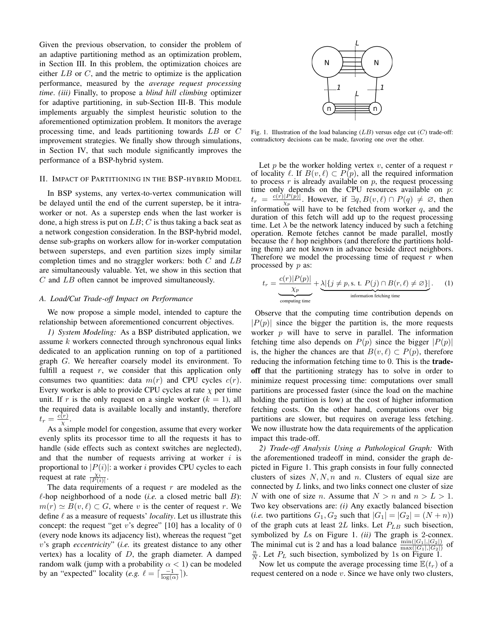Given the previous observation, to consider the problem of an adaptive partitioning method as an optimization problem, in Section III. In this problem, the optimization choices are either  $LB$  or  $C$ , and the metric to optimize is the application performance, measured by the *average request processing time*. *(iii)* Finally, to propose a *blind hill climbing* optimizer for adaptive partitioning, in sub-Section III-B. This module implements arguably the simplest heuristic solution to the aforementioned optimization problem. It monitors the average processing time, and leads partitioning towards LB or C improvement strategies. We finally show through simulations, in Section IV, that such module significantly improves the performance of a BSP-hybrid system.

#### II. IMPACT OF PARTITIONING IN THE BSP-HYBRID MODEL

In BSP systems, any vertex-to-vertex communication will be delayed until the end of the current superstep, be it intraworker or not. As a superstep ends when the last worker is done, a high stress is put on  $LB$ ; C is thus taking a back seat as a network congestion consideration. In the BSP-hybrid model, dense sub-graphs on workers allow for in-worker computation between supersteps, and even partition sizes imply similar completion times and no straggler workers: both  $C$  and  $LB$ are simultaneously valuable. Yet, we show in this section that C and LB often cannot be improved simultaneously.

#### *A. Load/Cut Trade-off Impact on Performance*

We now propose a simple model, intended to capture the relationship between aforementioned concurrent objectives.

*1) System Modeling:* As a BSP distributed application, we assume  $k$  workers connected through synchronous equal links dedicated to an application running on top of a partitioned graph G. We hereafter coarsely model its environment. To fulfill a request  $r$ , we consider that this application only consumes two quantities: data  $m(r)$  and CPU cycles  $c(r)$ . Every worker is able to provide CPU cycles at rate  $\chi$  per time unit. If r is the only request on a single worker  $(k = 1)$ , all the required data is available locally and instantly, therefore  $t_r = \frac{c(r)}{r}$  $\frac{(r)}{\chi}$  .

As a simple model for congestion, assume that every worker evenly splits its processor time to all the requests it has to handle (side effects such as context switches are neglected), and that the number of requests arriving at worker  $i$  is proportional to  $|P(i)|$ : a worker i provides CPU cycles to each request at rate  $\frac{\chi_i}{|P(i)|}$ .

The data requirements of a request  $r$  are modeled as the  $\ell$ -hop neighborhood of a node (*i.e.* a closed metric ball  $B$ ):  $m(r) \simeq B(v, \ell) \subset G$ , where v is the center of request r. We define  $\ell$  as a measure of requests' *locality*. Let us illustrate this concept: the request "get v's degree"  $[10]$  has a locality of 0 (every node knows its adjacency list), whereas the request "get v's graph *eccentricity*" (*i.e.* its greatest distance to any other vertex) has a locality of  $D$ , the graph diameter. A damped random walk (jump with a probability  $\alpha < 1$ ) can be modeled by an "expected" locality (*e.g.*  $\ell = \lceil \frac{-1}{\log(\alpha)} \rceil$ ).



Fig. 1. Illustration of the load balancing  $(LB)$  versus edge cut  $(C)$  trade-off: contradictory decisions can be made, favoring one over the other.

Let  $p$  be the worker holding vertex  $v$ , center of a request  $r$ of locality  $\ell$ . If  $B(v, \ell) \subset P(p)$ , all the required information to process  $r$  is already available on  $p$ , the request processing time only depends on the CPU resources available on  $p$ :  $t_r = \frac{c(r)|P(p)|}{r_p}$ . However, if  $\exists q, B(v, \ell) \cap P(q) \neq \emptyset$ , then  $v_r = \frac{\chi_p}{\chi_p}$ . However, in  $\frac{1}{2}q$ ,  $D(v, v) + 1$  ( $q$ )  $\neq \infty$ , then<br>information will have to be fetched from worker q, and the duration of this fetch will add up to the request processing time. Let  $\lambda$  be the network latency induced by such a fetching operation. Remote fetches cannot be made parallel, mostly because the  $\ell$  hop neighbors (and therefore the partitions holding them) are not known in advance beside direct neighbors. Therefore we model the processing time of request  $r$  when processed by p as:

$$
t_r = \underbrace{\frac{c(r)|P(p)|}{\chi_p}}_{\text{computing time}} + \underbrace{\lambda |\{j \neq p, \text{s. t. } P(j) \cap B(r,\ell) \neq \varnothing\}|}_{\text{information fetching time}}. \tag{1}
$$

Observe that the computing time contribution depends on  $|P(p)|$  since the bigger the partition is, the more requests worker  $p$  will have to serve in parallel. The information fetching time also depends on  $P(p)$  since the bigger  $|P(p)|$ is, the higher the chances are that  $B(v, \ell) \subset P(p)$ , therefore reducing the information fetching time to 0. This is the **trade**off that the partitioning strategy has to solve in order to minimize request processing time: computations over small partitions are processed faster (since the load on the machine holding the partition is low) at the cost of higher information fetching costs. On the other hand, computations over big partitions are slower, but requires on average less fetching. We now illustrate how the data requirements of the application impact this trade-off.

*2) Trade-off Analysis Using a Pathological Graph:* With the aforementioned tradeoff in mind, consider the graph depicted in Figure 1. This graph consists in four fully connected clusters of sizes  $N, N, n$  and n. Clusters of equal size are connected by  $L$  links, and two links connect one cluster of size N with one of size n. Assume that  $N > n$  and  $n > L > 1$ . Two key observations are: *(i)* Any exactly balanced bisection (*i.e.* two partitions  $G_1, G_2$  such that  $|G_1| = |G_2| = (N + n)$ ) of the graph cuts at least  $2L$  links. Let  $P_{LB}$  such bisection, symbolized by Ls on Figure 1. *(ii)* The graph is 2-connex. The minimal cut is 2 and has a load balance  $\frac{\min(|G_1|, |G_2|)}{\max(|G_1|, |G_2|)}$ . Let  $P_L$  such bisection, symbolized by 1s on Figure 1. of

Now let us compute the average processing time  $E(t_r)$  of a request centered on a node  $v$ . Since we have only two clusters,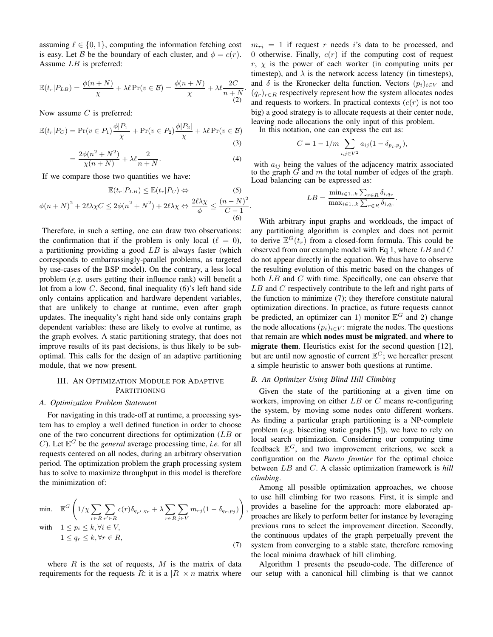assuming  $\ell \in \{0, 1\}$ , computing the information fetching cost is easy. Let B be the boundary of each cluster, and  $\phi = c(r)$ . Assume LB is preferred:

$$
\mathbb{E}(t_r|P_{LB}) = \frac{\phi(n+N)}{\chi} + \lambda \ell \Pr(v \in \mathcal{B}) = \frac{\phi(n+N)}{\chi} + \lambda \ell \frac{2C}{n+N}.
$$
\n(2)

Now assume  $C$  is preferred:

 $\phi(n +$ 

$$
\mathbb{E}(t_r|P_C) = \Pr(v \in P_1)\frac{\phi|P_1|}{\chi} + \Pr(v \in P_2)\frac{\phi|P_2|}{\chi} + \lambda \ell \Pr(v \in \mathcal{B})
$$
\n(3)

$$
= \frac{2\phi(n^2 + N^2)}{\chi(n+N)} + \lambda \ell \frac{2}{n+N}.
$$
 (4)

If we compare those two quantities we have:

$$
\mathbb{E}(t_r|P_{LB}) \le \mathbb{E}(t_r|P_C) \Leftrightarrow \qquad (5)
$$

$$
N)^2 + 2\ell\lambda\chi C \le 2\phi(n^2 + N^2) + 2\ell\lambda\chi \Leftrightarrow \frac{2\ell\lambda\chi}{\phi} \le \frac{(n-N)^2}{C-1}.
$$

(6)

,

Therefore, in such a setting, one can draw two observations: the confirmation that if the problem is only local ( $\ell = 0$ ), a partitioning providing a good  $LB$  is always faster (which corresponds to embarrassingly-parallel problems, as targeted by use-cases of the BSP model). On the contrary, a less local problem (*e.g.* users getting their influence rank) will benefit a lot from a low  $C$ . Second, final inequality (6)'s left hand side only contains application and hardware dependent variables, that are unlikely to change at runtime, even after graph updates. The inequality's right hand side only contains graph dependent variables: these are likely to evolve at runtime, as the graph evolves. A static partitioning strategy, that does not improve results of its past decisions, is thus likely to be suboptimal. This calls for the design of an adaptive partitioning module, that we now present.

#### III. AN OPTIMIZATION MODULE FOR ADAPTIVE PARTITIONING

#### *A. Optimization Problem Statement*

For navigating in this trade-off at runtime, a processing system has to employ a well defined function in order to choose one of the two concurrent directions for optimization (LB or C). Let  $\mathbb{E}^G$  be the *general* average processing time, *i.e.* for all requests centered on all nodes, during an arbitrary observation period. The optimization problem the graph processing system has to solve to maximize throughput in this model is therefore the minimization of:

min. 
$$
\mathbb{E}^{G}\left(1/\chi\sum_{r\in R}\sum_{r'\in R}c(r)\delta_{q_{r'},q_{r}} + \lambda\sum_{r\in R}\sum_{j\in V}m_{rj}(1-\delta_{q_{r},p_{j}})\right)
$$
  
with 
$$
1 \leq p_{i} \leq k, \forall i \in V,
$$

$$
1 \leq q_{r} \leq k, \forall r \in R,
$$
(7)

where  $R$  is the set of requests,  $M$  is the matrix of data requirements for the requests R: it is a  $|R| \times n$  matrix where  $m_{ri} = 1$  if request r needs i's data to be processed, and 0 otherwise. Finally,  $c(r)$  if the computing cost of request  $r, \chi$  is the power of each worker (in computing units per timestep), and  $\lambda$  is the network access latency (in timesteps), and  $\delta$  is the Kronecker delta function. Vectors  $(p_i)_{i \in V}$  and  $(q_r)_{r \in R}$  respectively represent how the system allocates nodes and requests to workers. In practical contexts  $(c(r))$  is not too big) a good strategy is to allocate requests at their center node, leaving node allocations the only input of this problem.

In this notation, one can express the cut as:

$$
C = 1 - 1/m \sum_{i,j \in V^2} a_{ij} (1 - \delta_{p_i, p_j}),
$$

with  $a_{ij}$  being the values of the adjacency matrix associated to the graph  $\tilde{G}$  and  $m$  the total number of edges of the graph. Load balancing can be expressed as:

$$
LB = \frac{\min_{i \in 1..k} \sum_{r \in R} \delta_{i,q_r}}{\max_{i \in 1..k} \sum_{r \in R} \delta_{i,q_r}}.
$$

With arbitrary input graphs and workloads, the impact of any partitioning algorithm is complex and does not permit to derive  $\mathbb{E}^{G}(t_r)$  from a closed-form formula. This could be observed from our example model with Eq 1, where  $LB$  and  $C$ do not appear directly in the equation. We thus have to observe the resulting evolution of this metric based on the changes of both LB and C with time. Specifically, one can observe that LB and C respectively contribute to the left and right parts of the function to minimize (7); they therefore constitute natural optimization directions. In practice, as future requests cannot be predicted, an optimizer can 1) monitor  $\mathbb{E}^G$  and 2) change the node allocations  $(p_i)_{i \in V}$ : migrate the nodes. The questions that remain are which nodes must be migrated, and where to migrate them. Heuristics exist for the second question [12], but are until now agnostic of current  $\mathbb{E}^G$ ; we hereafter present a simple heuristic to answer both questions at runtime.

#### *B. An Optimizer Using Blind Hill Climbing*

Given the state of the partitioning at a given time on workers, improving on either  $LB$  or C means re-configuring the system, by moving some nodes onto different workers. As finding a particular graph partitioning is a NP-complete problem (*e.g.* bisecting static graphs [5]), we have to rely on local search optimization. Considering our computing time feedback  $\mathbb{E}^G$ , and two improvement criterions, we seek a configuration on the *Pareto frontier* for the optimal choice between LB and C. A classic optimization framework is *hill climbing*.

Among all possible optimization approaches, we choose to use hill climbing for two reasons. First, it is simple and provides a baseline for the approach: more elaborated approaches are likely to perform better for instance by leveraging previous runs to select the improvement direction. Secondly, the continuous updates of the graph perpetually prevent the system from converging to a stable state, therefore removing the local minima drawback of hill climbing.

Algorithm 1 presents the pseudo-code. The difference of our setup with a canonical hill climbing is that we cannot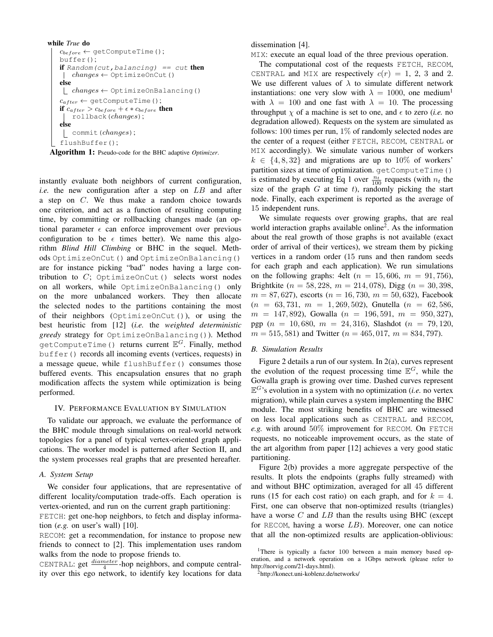```
while True do
c_{before} \leftarrow getComputeTime();
buffer();
if Random(cut, balancing) == cut then
  \mid changes \leftarrow \text{OptimizeOnCut}()else
  \lfloor changes \leftarrow OptimizeOnBalancing()
 c_{after} \leftarrow \text{getComputeTime}();
if c_{after} > c_{before} + \epsilon * c_{before} then
   rollback(changes);
else
  commit(changes);
flushBuffer();
```
Algorithm 1: Pseudo-code for the BHC adaptive *Optimizer*.

instantly evaluate both neighbors of current configuration, *i.e.* the new configuration after a step on LB and after a step on C. We thus make a random choice towards one criterion, and act as a function of resulting computing time, by committing or rollbacking changes made (an optional parameter  $\epsilon$  can enforce improvement over previous configuration to be  $\epsilon$  times better). We name this algorithm *Blind Hill Climbing* or BHC in the sequel. Methods OptimizeOnCut() and OptimizeOnBalancing() are for instance picking "bad" nodes having a large contribution to  $C$ ; OptimizeOnCut() selects worst nodes on all workers, while OptimizeOnBalancing() only on the more unbalanced workers. They then allocate the selected nodes to the partitions containing the most of their neighbors (OptimizeOnCut()), or using the best heuristic from [12] (*i.e.* the *weighted deterministic greedy* strategy for OptimizeOnBalancing()). Method  $\text{getComputeTime}$  () returns current  $\mathbb{E}^{G}$ . Finally, method buffer() records all incoming events (vertices, requests) in a message queue, while flushBuffer() consumes those buffered events. This encapsulation ensures that no graph modification affects the system while optimization is being performed.

#### IV. PERFORMANCE EVALUATION BY SIMULATION

To validate our approach, we evaluate the performance of the BHC module through simulations on real-world network topologies for a panel of typical vertex-oriented graph applications. The worker model is patterned after Section II, and the system processes real graphs that are presented hereafter.

#### *A. System Setup*

We consider four applications, that are representative of different locality/computation trade-offs. Each operation is vertex-oriented, and run on the current graph partitioning:

FETCH: get one-hop neighbors, to fetch and display information (*e.g.* on user's wall) [10].

RECOM: get a recommendation, for instance to propose new friends to connect to [2]. This implementation uses random walks from the node to propose friends to.

CENTRAL: get  $\frac{diameter}{4}$ -hop neighbors, and compute centrality over this ego network, to identify key locations for data dissemination [4].

MIX: execute an equal load of the three previous operation.

The computational cost of the requests FETCH, RECOM, CENTRAL and MIX are respectively  $c(r) = 1, 2, 3$  and 2. We use different values of  $\lambda$  to simulate different network instantiations: one very slow with  $\lambda = 1000$ , one medium<sup>1</sup> with  $\lambda = 100$  and one fast with  $\lambda = 10$ . The processing throughput  $\chi$  of a machine is set to one, and  $\epsilon$  to zero *(i.e.* no degradation allowed). Requests on the system are simulated as follows: 100 times per run,  $1\%$  of randomly selected nodes are the center of a request (either FETCH, RECOM, CENTRAL or MIX accordingly). We simulate various number of workers  $k \in \{4, 8, 32\}$  and migrations are up to 10% of workers' partition sizes at time of optimization. getComputeTime() is estimated by executing Eq 1 over  $\frac{n_t}{100}$  requests (with  $n_t$  the size of the graph  $G$  at time  $t$ ), randomly picking the start node. Finally, each experiment is reported as the average of 15 independent runs.

We simulate requests over growing graphs, that are real world interaction graphs available online<sup>2</sup>. As the information about the real growth of those graphs is not available (exact order of arrival of their vertices), we stream them by picking vertices in a random order (15 runs and then random seeds for each graph and each application). We run simulations on the following graphs: 4elt ( $n = 15,606$ ,  $m = 91,756$ ), Brightkite ( $n = 58, 228, m = 214, 078$ ), Digg ( $n = 30, 398,$  $m = 87,627$ , escorts ( $n = 16,730, m = 50,632$ ), Facebook  $(n = 63, 731, m = 1, 269, 502)$ , Gnutella  $(n = 62, 586,$  $m = 147,892$ , Gowalla  $(n = 196,591, m = 950,327)$ , pgp  $(n = 10,680, m = 24,316)$ , Slashdot  $(n = 79,120,$  $m = 515, 581$  and Twitter ( $n = 465, 017, m = 834, 797$ ).

#### *B. Simulation Results*

Figure 2 details a run of our system. In 2(a), curves represent the evolution of the request processing time  $\mathbb{E}^G$ , while the Gowalla graph is growing over time. Dashed curves represent  $\mathbb{E}^{G}$ 's evolution in a system with no optimization (*i.e.* no vertex migration), while plain curves a system implementing the BHC module. The most striking benefits of BHC are witnessed on less local applications such as CENTRAL and RECOM, *e.g.* with around 50% improvement for RECOM. On FETCH requests, no noticeable improvement occurs, as the state of the art algorithm from paper [12] achieves a very good static partitioning.

Figure 2(b) provides a more aggregate perspective of the results. It plots the endpoints (graphs fully streamed) with and without BHC optimization, averaged for all 45 different runs (15 for each cost ratio) on each graph, and for  $k = 4$ . First, one can observe that non-optimized results (triangles) have a worse  $C$  and  $LB$  than the results using BHC (except for RECOM, having a worse  $LB$ ). Moreover, one can notice that all the non-optimized results are application-oblivious:

<sup>&</sup>lt;sup>1</sup>There is typically a factor 100 between a main memory based operation, and a network operation on a 1Gbps network (please refer to http://norvig.com/21-days.html).

<sup>2</sup>http://konect.uni-koblenz.de/networks/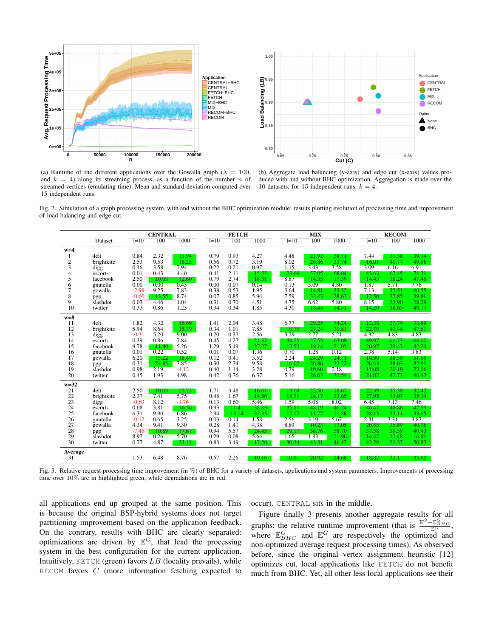

(a) Runtime of the different applications over the Gowalla graph ( $\lambda = 100$ , and  $k = 4$ ) along its streaming process, as a function of the number n of streamed vertices (emulating time). Mean and standard deviation computed over 15 independent runs.

(b) Aggregate load balancing (y-axis) and edge cut (x-axis) values produced with and without BHC optimization. Aggregation is made over the 10 datasets, for 15 independent runs.  $k = 4$ .

Fig. 2. Simulation of a graph processing system, with and without the BHC optimization module: results plotting evolution of processing time and improvement of load balancing and edge cut.

|                |            |         | <b>CENTRAL</b> |         |        | <b>FETCH</b> |        |        | <b>MIX</b> |       |        | <b>RECOM</b> |       |  |
|----------------|------------|---------|----------------|---------|--------|--------------|--------|--------|------------|-------|--------|--------------|-------|--|
|                | Dataset    | $l=10$  | 100            | 1000    | $1=10$ | 100          | 1000   | $l=10$ | 100        | 1000  | $1=10$ | 100          | 1000  |  |
| $w=4$          |            |         |                |         |        |              |        |        |            |       |        |              |       |  |
| 1              | 4elt       | 0.84    | 2.32           | 11.94   | 0.79   | 0.93         | 4.27   | 4.48   | 21.92      | 38.71 | 7.44   | 31.38        | 39.14 |  |
| $\overline{c}$ | brightkite | 2.53    | 9.53           | 16.25   | 0.56   | 0.72         | 3.19   | 8.02   | 26.86      | 33.74 | 16.01  | 40.77        | 49.66 |  |
| 3              | digg       | 0.16    | 3.58           | 7.94    | 0.22   | 0.21         | 0.97   | 1.15   | 3.43       | 3.58  | 3.09   | 6.16         | 6.91  |  |
| 4              | escorts    | 0.01    | 0.43           | 4.40    | 0.41   | 2.11         | 15.22  | 23.69  | 57.05      | 68.04 | 43.63  | 67.45        | 71.31 |  |
| 5              | facebook   | 2.50    | 10.03          | 12.60   | 0.79   | 2.74         | 18.31  | 8.87   | 14.35      | 17.39 | 14.43  | 38.24        | 47.46 |  |
| 6              | gnutella   | 0.00    | 0.00           | 0.43    | 0.00   | 0.07         | 0.14   | 0.13   | 5.09       | 4.80  | 1.87   | 5.71         | 7.76  |  |
| $\overline{7}$ | gowalla    | $-2.99$ | 9.25           | 7.83    | 0.38   | 0.53         | 1.95   | 3.64   | 14.81      | 33.32 | 7.13   | 35.51        | 60.55 |  |
| 8              | pgp        | $-0.60$ | 13.55          | 8.74    | 0.07   | 0.85         | 5.94   | 7.59   | 32.43      | 28.63 | 17.50  | 37.85        | 39.81 |  |
| 9              | slashdot   | 0.03    | 4.46           | 1.04    | 0.31   | 0.70         | 4.51   | 4.75   | 6.62       | 5.80  | 8.15   | 23.90        | 28.29 |  |
| 10             | twitter    | 0.33    | 0.86           | 1.23    | 0.34   | 0.34         | 1.85   | 4.30   | 18.45      | 34.51 | 14.29  | 38.65        | 49.77 |  |
| $w=8$          |            |         |                |         |        |              |        |        |            |       |        |              |       |  |
| 11             | 4elt       | 1.82    | 4.32           | 16.69   | 1.41   | 2.04         | 3.48   | 6.77   | 29.25      | 34.24 | 12.38  | 37.79        | 33.89 |  |
| 12             | brightkite | 5.94    | 8.64           | 15.79   | 0.34   | 1.01         | 7.85   | 10.75  | 21.24      | 30.81 | 22.79  | 43.44        | 47.61 |  |
| 13             | digg       | $-0.31$ | 5.20           | 9.00    | 0.20   | 0.37         | 2.56   | 3.29   | 2.77       | 5.21  | 4.32   | 4.83         | 4.83  |  |
| 14             | escorts    | 0.39    | 0.86           | 7.84    | 0.45   | 4.27         | 21.37  | 34.25  | 57.55      | 63.09 | 49.97  | 61.73        | 64.00 |  |
| 15             | facebook   | 9.78    | 11.90          | 5.26    | 1.29   | 5.49         | 27.27  | 13.53  | 19.14      | 21.05 | 20.97  | 39.43        | 42.24 |  |
| 16             | gnutella   | 0.01    | 0.22           | 0.52    | 0.01   | 0.07         | 1.36   | 0.70   | 1.28       | 0.12  | 2.38   | 5.14         | 3.83  |  |
| 17             | gowalla    | 6.20    | 15.22          | 18.49   | 0.12   | 0.41         | 3.52   | 2.24   | 24.29      | 24.71 | 10.99  | 38.59        | 51.69 |  |
| 18             | pgp        | 0.31    | 24.85          | 3.85    | 0.30   | 2.34         | 9.58   | 16.02  | 26.80      | 33.72 | 26.43  | 38.63        | 42.91 |  |
| 19             | slashdot   | 0.98    | 2.19           | $-4.12$ | 0.40   | 1.14         | 3.28   | 4.79   | 10.60      | 2.18  | 11.08  | 20.19        | 23.06 |  |
| 20             | twitter    | 0.45    | 1.93           | 4.98    | 0.42   | 0.76         | 6.37   | 5.16   | 26.63      | 32.54 | 21.02  | 42.73        | 46.42 |  |
| $w=32$         |            |         |                |         |        |              |        |        |            |       |        |              |       |  |
| 21             | 4elt       | 2.50    | 10.03          | 25.73   | 1.71   | 3.48         | 16.61  | 13.04  | 22.56      | 18.67 | 22.39  | 35.39        | 32.42 |  |
| 22             | brightkite | 2.37    | 7.41           | 5.75    | 0.48   | 1.67         | 14.56  | 18.71  | 24.17      | 23.65 | 27.95  | 33.97        | 35.34 |  |
| 23             | digg       | $-0.63$ | 8.12           | $-1.76$ | 0.13   | 0.60         | 5.46   | 1.59   | 5.08       | 8.02  | 6.45   | 7.13         | 7.46  |  |
| 24             | escorts    | 0.68    | 3.81           | 16.56   | 0.93   | 11.41        | 38.83  | 35.81  | 48.19      | 46.24 | 46.47  | 46.86        | 47.59 |  |
| 25             | facebook   | 6.31    | 9.90           | 6.86    | 2.94   | 13.14        | 33.35  | 12.17  | 11.77      | 11.88 | 28.13  | 33.11        | 33.65 |  |
| 26             | gnutella   | $-0.12$ | 0.65           | 3.25    | 0.03   | 0.14         | 1.58   | 2.56   | 3.19       | 5.67  | 2.31   | 3.31         | 3.87  |  |
| 27             | gowalla    | 4.34    | 9.41           | 9.30    | 0.28   | 1.41         | 4.38   | 8.89   | 10.23      | 13.05 | 20.85  | 36.89        | 40.06 |  |
| 28             | pgp        | $-7.45$ | 10.89          | 17.67   | 0.94   | 5.57         | 24.45  | 29.17  | 36.76      | 38.70 | 37.58  | 39.59        | 40.43 |  |
| 29             | slashdot   | 8.97    | 0.26           | 5.70    | 0.29   | 0.08         | 5.64   | 1.65   | 1.83       | 11.96 | 14.42  | 17.48        | 16.81 |  |
| 30             | twitter    | 0.77    | 4.87           | 23.11   | 0.83   | 3.49         | 17.20  | 30.34  | 43.31      | 46.47 | 42.29  | 51.37        | 50.83 |  |
| Average        |            |         |                |         |        |              |        |        |            |       |        |              |       |  |
| 31             |            | 1.53    | 6.48           | 8.76    | 0.57   | 2.26         | 10.16- | 10.6   | 20.92      | 24.68 | 18.82  | 32.1         | 35.65 |  |

Fig. 3. Relative request processing time improvement (in %) of BHC for a variety of datasets, applications and system parameters. Improvements of processing time over 10% are in highlighted green, while degradations are in red.

all applications end up grouped at the same position. This is because the original BSP-hybrid systems does not target partitioning improvement based on the application feedback. On the contrary, results with BHC are clearly separated: optimizations are driven by  $\mathbb{E}^G$ , that lead the processing system in the best configuration for the current application. Intuitively, FETCH (green) favors  $LB$  (locality prevails), while RECOM favors C (more information fetching expected to occur). CENTRAL sits in the middle.

Figure finally 3 presents another aggregate results for all graphs: the relative runtime improvement (that is  $\frac{\mathbb{E}^{G}-\mathbb{E}_{BHC}^{G}}{\mathbb{E}^{G}}$ , where  $\mathbb{E}_{BHC}^G$  and  $\mathbb{E}^G$  are respectively the optimized and non-optimized average request processing times). As observed before, since the original vertex assignment heuristic [12] optimizes cut, local applications like FETCH do not benefit much from BHC. Yet, all other less local applications see their